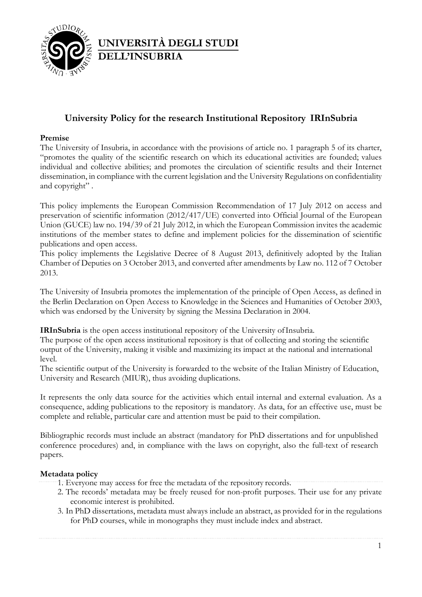

UNIVERSITÀ DEGLI STUDI **DELL'INSUBRIA** 

# **University Policy for the research Institutional Repository IRInSubria**

#### **Premise**

The University of Insubria, in accordance with the provisions of article no. 1 paragraph 5 of its charter, "promotes the quality of the scientific research on which its educational activities are founded; values individual and collective abilities; and promotes the circulation of scientific results and their Internet dissemination, in compliance with the current legislation and the University Regulations on confidentiality and copyright" .

This policy implements the European Commission Recommendation of 17 July 2012 on access and preservation of scientific information (2012/417/UE) converted into Official Journal of the European Union (GUCE) law no. 194/39 of 21 July 2012, in which the European Commission invites the academic institutions of the member states to define and implement policies for the dissemination of scientific publications and open access.

This policy implements the Legislative Decree of 8 August 2013, definitively adopted by the Italian Chamber of Deputies on 3 October 2013, and converted after amendments by Law no. 112 of 7 October 2013.

The University of Insubria promotes the implementation of the principle of Open Access, as defined in the Berlin Declaration on Open Access to Knowledge in the Sciences and Humanities of October 2003, which was endorsed by the University by signing the Messina Declaration in 2004.

**IRInSubria** is the open access institutional repository of the University ofInsubria.

The purpose of the open access institutional repository is that of collecting and storing the scientific output of the University, making it visible and maximizing its impact at the national and international level.

The scientific output of the University is forwarded to the website of the Italian Ministry of Education, University and Research (MIUR), thus avoiding duplications.

It represents the only data source for the activities which entail internal and external evaluation. As a consequence, adding publications to the repository is mandatory. As data, for an effective use, must be complete and reliable, particular care and attention must be paid to their compilation.

Bibliographic records must include an abstract (mandatory for PhD dissertations and for unpublished conference procedures) and, in compliance with the laws on copyright, also the full-text of research papers.

#### **Metadata policy**

- 1. Everyone may access for free the metadata of the repository records.
- 2. The records' metadata may be freely reused for non-profit purposes. Their use for any private economic interest is prohibited.
- 3. In PhD dissertations, metadata must always include an abstract, as provided for in the regulations for PhD courses, while in monographs they must include index and abstract.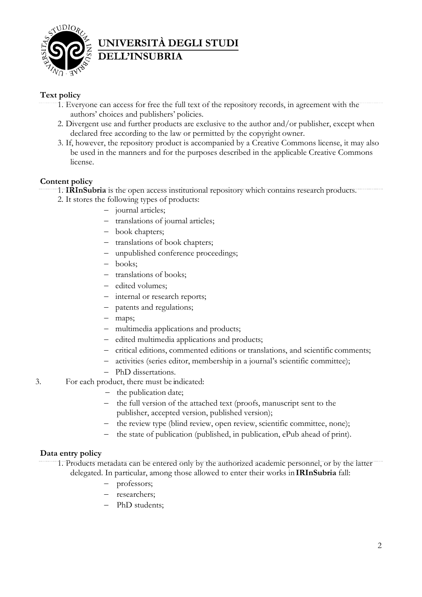

# UNIVERSITÀ DEGLI STUDI **DELL'INSUBRIA**

## **Text policy**

- 1. Everyone can access for free the full text of the repository records, in agreement with the authors' choices and publishers' policies.
- 2. Divergent use and further products are exclusive to the author and/or publisher, except when declared free according to the law or permitted by the copyright owner.
- 3. If, however, the repository product is accompanied by a Creative Commons license, it may also be used in the manners and for the purposes described in the applicable Creative Commons license.

## **Content policy**

- 1. **IRInSubria** is the open access institutional repository which contains research products.
- 2. It stores the following types of products:
	- − journal articles;
	- − translations of journal articles;
	- − book chapters;
	- − translations of book chapters;
	- − unpublished conference proceedings;
	- − books;
	- − translations of books;
	- − edited volumes;
	- − internal or research reports;
	- − patents and regulations;
	- − maps;
	- − multimedia applications and products;
	- edited multimedia applications and products;
	- − critical editions, commented editions or translations, and scientific comments;
	- − activities (series editor, membership in a journal's scientific committee);
	- − PhD dissertations.
- 3. For each product, there must be indicated:
	- − the publication date;
	- the full version of the attached text (proofs, manuscript sent to the publisher, accepted version, published version);
	- − the review type (blind review, open review, scientific committee, none);
	- − the state of publication (published, in publication, ePub ahead of print).

## **Data entry policy**

- 1. Products metadata can be entered only by the authorized academic personnel, or by the latter delegated. In particular, among those allowed to enter their works in **IRInSubria** fall:
	- − professors;
	- − researchers;
	- PhD students;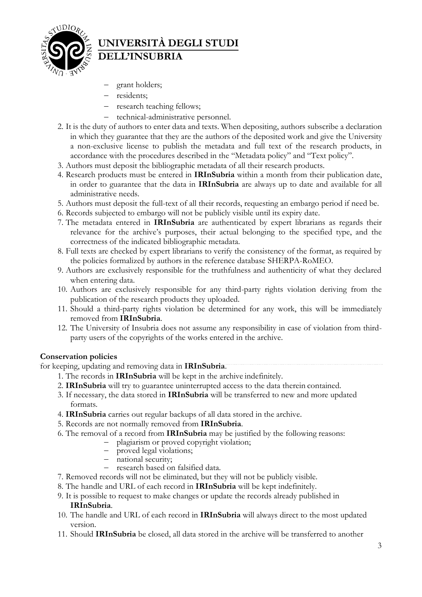

# UNIVERSITÀ DEGLI STUDI **DELL'INSUBRIA**

- grant holders;
- residents;
- research teaching fellows;
- − technical-administrative personnel.
- 2. It is the duty of authors to enter data and texts. When depositing, authors subscribe a declaration in which they guarantee that they are the authors of the deposited work and give the University a non-exclusive license to publish the metadata and full text of the research products, in accordance with the procedures described in the "Metadata policy" and "Text policy".
- 3. Authors must deposit the bibliographic metadata of all their research products.
- 4. Research products must be entered in **IRInSubria** within a month from their publication date, in order to guarantee that the data in **IRInSubria** are always up to date and available for all administrative needs.
- 5. Authors must deposit the full-text of all their records, requesting an embargo period if need be.
- 6. Records subjected to embargo will not be publicly visible until its expiry date.
- 7. The metadata entered in **IRInSubria** are authenticated by expert librarians as regards their relevance for the archive's purposes, their actual belonging to the specified type, and the correctness of the indicated bibliographic metadata.
- 8. Full texts are checked by expert librarians to verify the consistency of the format, as required by the policies formalized by authors in the reference database SHERPA-RoMEO.
- 9. Authors are exclusively responsible for the truthfulness and authenticity of what they declared when entering data.
- 10. Authors are exclusively responsible for any third-party rights violation deriving from the publication of the research products they uploaded.
- 11. Should a third-party rights violation be determined for any work, this will be immediately removed from **IRInSubria**.
- 12. The University of Insubria does not assume any responsibility in case of violation from thirdparty users of the copyrights of the works entered in the archive.

## **Conservation policies**

for keeping, updating and removing data in **IRInSubria**.

- 1. The records in **IRInSubria** will be kept in the archive indefinitely.
- 2. **IRInSubria** will try to guarantee uninterrupted access to the data therein contained.
- 3. If necessary, the data stored in **IRInSubria** will be transferred to new and more updated formats.
- 4. **IRInSubria** carries out regular backups of all data stored in the archive.
- 5. Records are not normally removed from **IRInSubria**.
- 6. The removal of a record from **IRInSubria** may be justified by the following reasons:
	- − plagiarism or proved copyright violation;
		- − proved legal violations;
		- − national security;
		- − research based on falsified data.
- 7. Removed records will not be eliminated, but they will not be publicly visible.
- 8. The handle and URL of each record in **IRInSubria** will be kept indefinitely.
- 9. It is possible to request to make changes or update the records already published in **IRInSubria**.
- 10. The handle and URL of each record in **IRInSubria** will always direct to the most updated version.
- 11. Should **IRInSubria** be closed, all data stored in the archive will be transferred to another